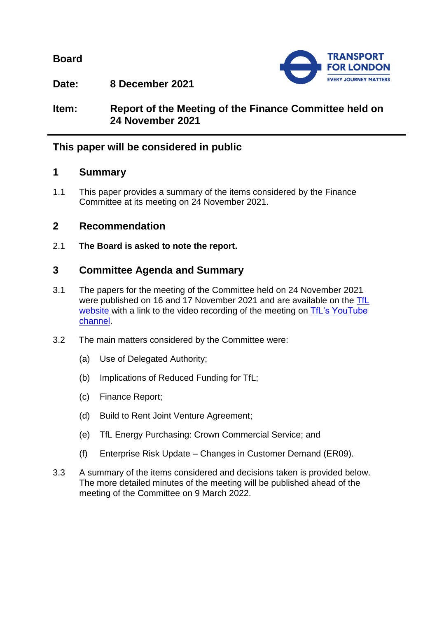**Board**



**Date: 8 December 2021**

**Item: Report of the Meeting of the Finance Committee held on 24 November 2021**

# **This paper will be considered in public**

## **1 Summary**

1.1 This paper provides a summary of the items considered by the Finance Committee at its meeting on 24 November 2021.

## **2 Recommendation**

2.1 **The Board is asked to note the report.**

# **3 Committee Agenda and Summary**

- 3.1 The papers for the meeting of the Committee held on 24 November 2021 were published on 16 and 17 November 2021 and are available on the [TfL](https://board.tfl.gov.uk/uuCoverPage.aspx?bcr=1)  [website](https://board.tfl.gov.uk/uuCoverPage.aspx?bcr=1) with a link to the video recording of the meeting on TfL's YouTube [channel.](https://www.youtube.com/playlist?list=PLtnlusA0Zoggk4qvN68OcnD9k_7B8cY_d)
- 3.2 The main matters considered by the Committee were:
	- (a) Use of Delegated Authority;
	- (b) Implications of Reduced Funding for TfL;
	- (c) Finance Report;
	- (d) Build to Rent Joint Venture Agreement;
	- (e) TfL Energy Purchasing: Crown Commercial Service; and
	- (f) Enterprise Risk Update Changes in Customer Demand (ER09).
- 3.3 A summary of the items considered and decisions taken is provided below. The more detailed minutes of the meeting will be published ahead of the meeting of the Committee on 9 March 2022.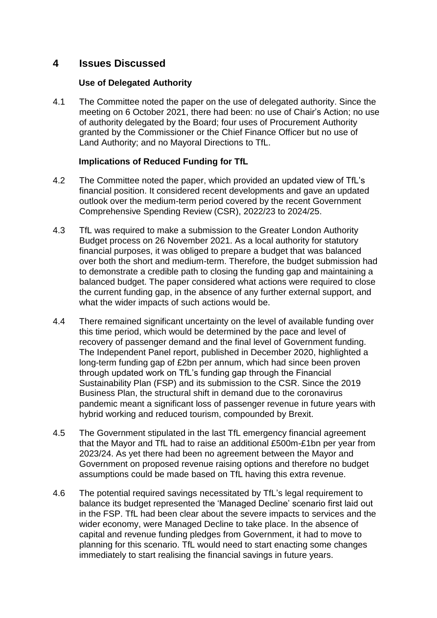## **4 Issues Discussed**

#### **Use of Delegated Authority**

4.1 The Committee noted the paper on the use of delegated authority. Since the meeting on 6 October 2021, there had been: no use of Chair's Action; no use of authority delegated by the Board; four uses of Procurement Authority granted by the Commissioner or the Chief Finance Officer but no use of Land Authority; and no Mayoral Directions to TfL.

### **Implications of Reduced Funding for TfL**

- 4.2 The Committee noted the paper, which provided an updated view of TfL's financial position. It considered recent developments and gave an updated outlook over the medium-term period covered by the recent Government Comprehensive Spending Review (CSR), 2022/23 to 2024/25.
- 4.3 TfL was required to make a submission to the Greater London Authority Budget process on 26 November 2021. As a local authority for statutory financial purposes, it was obliged to prepare a budget that was balanced over both the short and medium-term. Therefore, the budget submission had to demonstrate a credible path to closing the funding gap and maintaining a balanced budget. The paper considered what actions were required to close the current funding gap, in the absence of any further external support, and what the wider impacts of such actions would be.
- 4.4 There remained significant uncertainty on the level of available funding over this time period, which would be determined by the pace and level of recovery of passenger demand and the final level of Government funding. The Independent Panel report, published in December 2020, highlighted a long-term funding gap of £2bn per annum, which had since been proven through updated work on TfL's funding gap through the Financial Sustainability Plan (FSP) and its submission to the CSR. Since the 2019 Business Plan, the structural shift in demand due to the coronavirus pandemic meant a significant loss of passenger revenue in future years with hybrid working and reduced tourism, compounded by Brexit.
- 4.5 The Government stipulated in the last TfL emergency financial agreement that the Mayor and TfL had to raise an additional £500m-£1bn per year from 2023/24. As yet there had been no agreement between the Mayor and Government on proposed revenue raising options and therefore no budget assumptions could be made based on TfL having this extra revenue.
- 4.6 The potential required savings necessitated by TfL's legal requirement to balance its budget represented the 'Managed Decline' scenario first laid out in the FSP. TfL had been clear about the severe impacts to services and the wider economy, were Managed Decline to take place. In the absence of capital and revenue funding pledges from Government, it had to move to planning for this scenario. TfL would need to start enacting some changes immediately to start realising the financial savings in future years.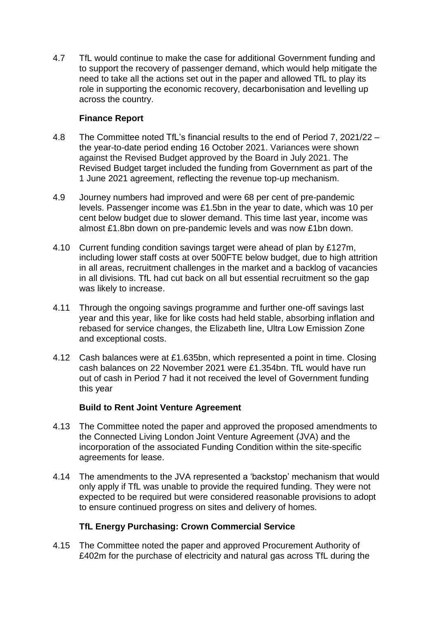4.7 TfL would continue to make the case for additional Government funding and to support the recovery of passenger demand, which would help mitigate the need to take all the actions set out in the paper and allowed TfL to play its role in supporting the economic recovery, decarbonisation and levelling up across the country.

### **Finance Report**

- 4.8 The Committee noted TfL's financial results to the end of Period 7, 2021/22 the year-to-date period ending 16 October 2021. Variances were shown against the Revised Budget approved by the Board in July 2021. The Revised Budget target included the funding from Government as part of the 1 June 2021 agreement, reflecting the revenue top-up mechanism.
- 4.9 Journey numbers had improved and were 68 per cent of pre-pandemic levels. Passenger income was £1.5bn in the year to date, which was 10 per cent below budget due to slower demand. This time last year, income was almost £1.8bn down on pre-pandemic levels and was now £1bn down.
- 4.10 Current funding condition savings target were ahead of plan by £127m, including lower staff costs at over 500FTE below budget, due to high attrition in all areas, recruitment challenges in the market and a backlog of vacancies in all divisions. TfL had cut back on all but essential recruitment so the gap was likely to increase.
- 4.11 Through the ongoing savings programme and further one-off savings last year and this year, like for like costs had held stable, absorbing inflation and rebased for service changes, the Elizabeth line, Ultra Low Emission Zone and exceptional costs.
- 4.12 Cash balances were at £1.635bn, which represented a point in time. Closing cash balances on 22 November 2021 were £1.354bn. TfL would have run out of cash in Period 7 had it not received the level of Government funding this year

### **Build to Rent Joint Venture Agreement**

- 4.13 The Committee noted the paper and approved the proposed amendments to the Connected Living London Joint Venture Agreement (JVA) and the incorporation of the associated Funding Condition within the site-specific agreements for lease.
- 4.14 The amendments to the JVA represented a 'backstop' mechanism that would only apply if TfL was unable to provide the required funding. They were not expected to be required but were considered reasonable provisions to adopt to ensure continued progress on sites and delivery of homes.

### **TfL Energy Purchasing: Crown Commercial Service**

4.15 The Committee noted the paper and approved Procurement Authority of £402m for the purchase of electricity and natural gas across TfL during the